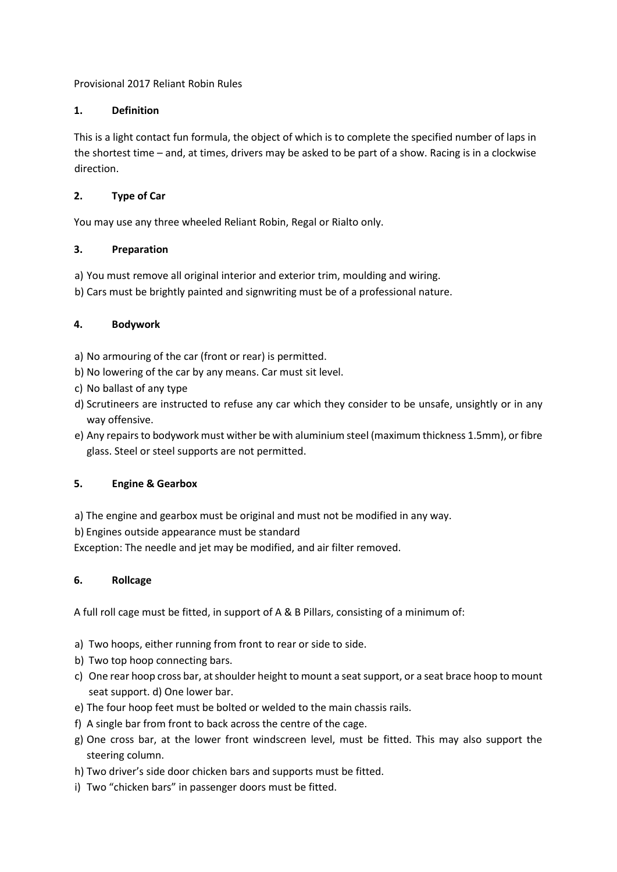Provisional 2017 Reliant Robin Rules

# **1. Definition**

This is a light contact fun formula, the object of which is to complete the specified number of laps in the shortest time – and, at times, drivers may be asked to be part of a show. Racing is in a clockwise direction.

# **2. Type of Car**

You may use any three wheeled Reliant Robin, Regal or Rialto only.

# **3. Preparation**

- a) You must remove all original interior and exterior trim, moulding and wiring.
- b) Cars must be brightly painted and signwriting must be of a professional nature.

# **4. Bodywork**

- a) No armouring of the car (front or rear) is permitted.
- b) No lowering of the car by any means. Car must sit level.
- c) No ballast of any type
- d) Scrutineers are instructed to refuse any car which they consider to be unsafe, unsightly or in any way offensive.
- e) Any repairs to bodywork must wither be with aluminium steel (maximum thickness 1.5mm), or fibre glass. Steel or steel supports are not permitted.

# **5. Engine & Gearbox**

- a) The engine and gearbox must be original and must not be modified in any way.
- b) Engines outside appearance must be standard

Exception: The needle and jet may be modified, and air filter removed.

# **6. Rollcage**

A full roll cage must be fitted, in support of A & B Pillars, consisting of a minimum of:

- a) Two hoops, either running from front to rear or side to side.
- b) Two top hoop connecting bars.
- c) One rear hoop cross bar, at shoulder height to mount a seat support, or a seat brace hoop to mount seat support. d) One lower bar.
- e) The four hoop feet must be bolted or welded to the main chassis rails.
- f) A single bar from front to back across the centre of the cage.
- g) One cross bar, at the lower front windscreen level, must be fitted. This may also support the steering column.
- h) Two driver's side door chicken bars and supports must be fitted.
- i) Two "chicken bars" in passenger doors must be fitted.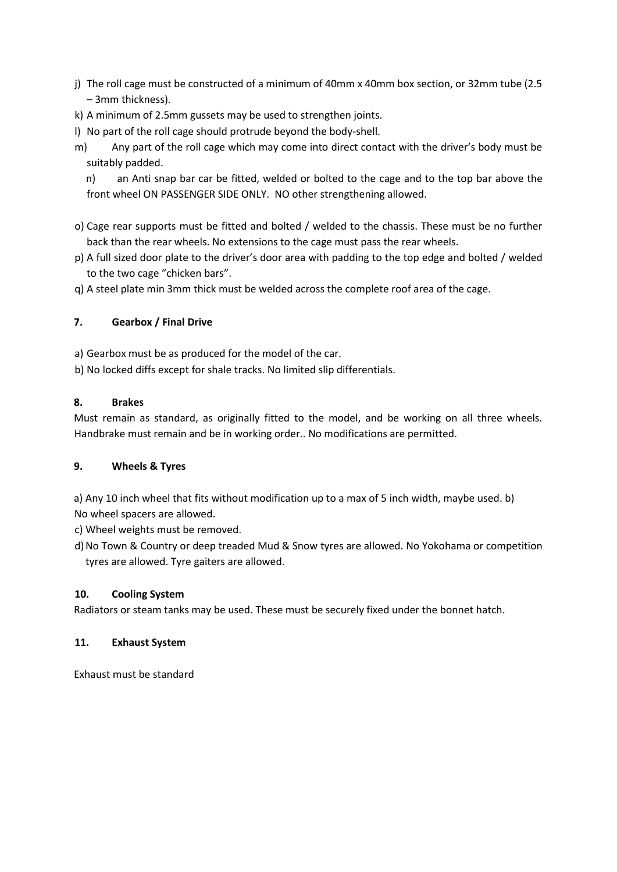- j) The roll cage must be constructed of a minimum of 40mm x 40mm box section, or 32mm tube (2.5 – 3mm thickness).
- k) A minimum of 2.5mm gussets may be used to strengthen joints.
- l) No part of the roll cage should protrude beyond the body-shell.
- m) Any part of the roll cage which may come into direct contact with the driver's body must be suitably padded.

n) an Anti snap bar car be fitted, welded or bolted to the cage and to the top bar above the front wheel ON PASSENGER SIDE ONLY. NO other strengthening allowed.

- o) Cage rear supports must be fitted and bolted / welded to the chassis. These must be no further back than the rear wheels. No extensions to the cage must pass the rear wheels.
- p) A full sized door plate to the driver's door area with padding to the top edge and bolted / welded to the two cage "chicken bars".

q) A steel plate min 3mm thick must be welded across the complete roof area of the cage.

# **7. Gearbox / Final Drive**

- a) Gearbox must be as produced for the model of the car.
- b) No locked diffs except for shale tracks. No limited slip differentials.

# **8. Brakes**

Must remain as standard, as originally fitted to the model, and be working on all three wheels. Handbrake must remain and be in working order.. No modifications are permitted.

# **9. Wheels & Tyres**

a) Any 10 inch wheel that fits without modification up to a max of 5 inch width, maybe used. b) No wheel spacers are allowed.

c) Wheel weights must be removed.

d)No Town & Country or deep treaded Mud & Snow tyres are allowed. No Yokohama or competition tyres are allowed. Tyre gaiters are allowed.

# **10. Cooling System**

Radiators or steam tanks may be used. These must be securely fixed under the bonnet hatch.

# **11. Exhaust System**

Exhaust must be standard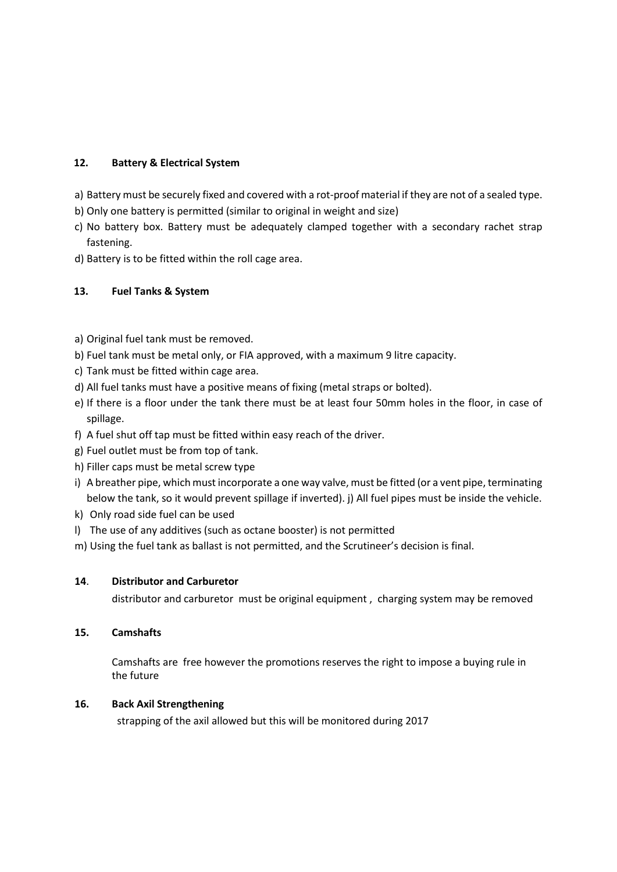### **12. Battery & Electrical System**

- a) Battery must be securely fixed and covered with a rot-proof material if they are not of a sealed type.
- b) Only one battery is permitted (similar to original in weight and size)
- c) No battery box. Battery must be adequately clamped together with a secondary rachet strap fastening.
- d) Battery is to be fitted within the roll cage area.

### **13. Fuel Tanks & System**

- a) Original fuel tank must be removed.
- b) Fuel tank must be metal only, or FIA approved, with a maximum 9 litre capacity.
- c) Tank must be fitted within cage area.
- d) All fuel tanks must have a positive means of fixing (metal straps or bolted).
- e) If there is a floor under the tank there must be at least four 50mm holes in the floor, in case of spillage.
- f) A fuel shut off tap must be fitted within easy reach of the driver.
- g) Fuel outlet must be from top of tank.
- h) Filler caps must be metal screw type
- i) A breather pipe, which must incorporate a one way valve, must be fitted (or a vent pipe, terminating below the tank, so it would prevent spillage if inverted). j) All fuel pipes must be inside the vehicle.
- k) Only road side fuel can be used
- l) The use of any additives (such as octane booster) is not permitted
- m) Using the fuel tank as ballast is not permitted, and the Scrutineer's decision is final.

#### **14**. **Distributor and Carburetor**

distributor and carburetor must be original equipment , charging system may be removed

#### **15. Camshafts**

Camshafts are free however the promotions reserves the right to impose a buying rule in the future

#### **16. Back Axil Strengthening**

strapping of the axil allowed but this will be monitored during 2017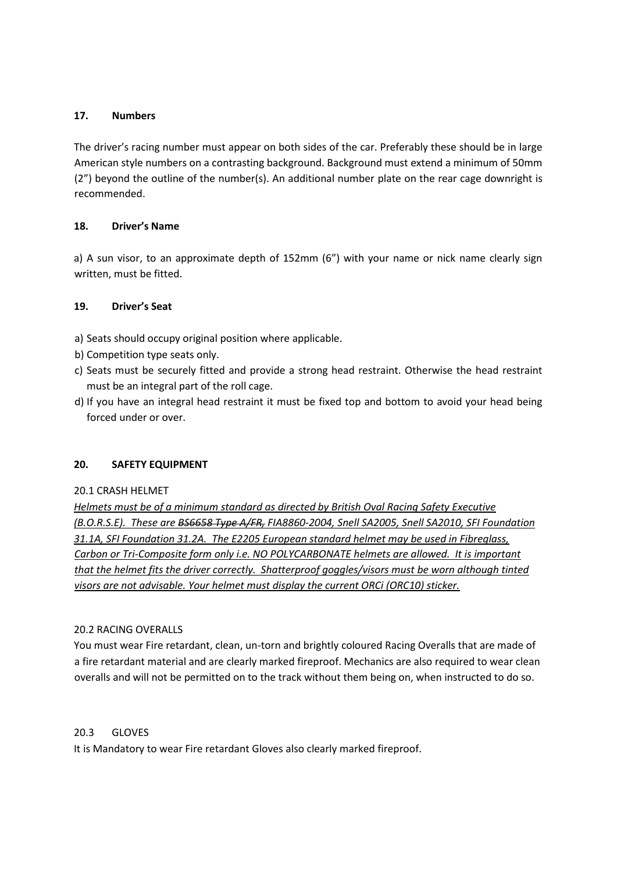### **17. Numbers**

The driver's racing number must appear on both sides of the car. Preferably these should be in large American style numbers on a contrasting background. Background must extend a minimum of 50mm (2") beyond the outline of the number(s). An additional number plate on the rear cage downright is recommended.

### **18. Driver's Name**

a) A sun visor, to an approximate depth of 152mm (6") with your name or nick name clearly sign written, must be fitted.

### **19. Driver's Seat**

- a) Seats should occupy original position where applicable.
- b) Competition type seats only.
- c) Seats must be securely fitted and provide a strong head restraint. Otherwise the head restraint must be an integral part of the roll cage.
- d) If you have an integral head restraint it must be fixed top and bottom to avoid your head being forced under or over.

#### **20. SAFETY EQUIPMENT**

#### 20.1 CRASH HELMET

*Helmets must be of a minimum standard as directed by British Oval Racing Safety Executive (B.O.R.S.E). These are BS6658 Type A/FR, FIA8860-2004, Snell SA2005, Snell SA2010, SFI Foundation 31.1A, SFI Foundation 31.2A. The E2205 European standard helmet may be used in Fibreglass, Carbon or Tri-Composite form only i.e. NO POLYCARBONATE helmets are allowed. It is important that the helmet fits the driver correctly. Shatterproof goggles/visors must be worn although tinted visors are not advisable. Your helmet must display the current ORCi (ORC10) sticker.*

#### 20.2 RACING OVERALLS

You must wear Fire retardant, clean, un-torn and brightly coloured Racing Overalls that are made of a fire retardant material and are clearly marked fireproof. Mechanics are also required to wear clean overalls and will not be permitted on to the track without them being on, when instructed to do so.

#### 20.3 GLOVES

It is Mandatory to wear Fire retardant Gloves also clearly marked fireproof.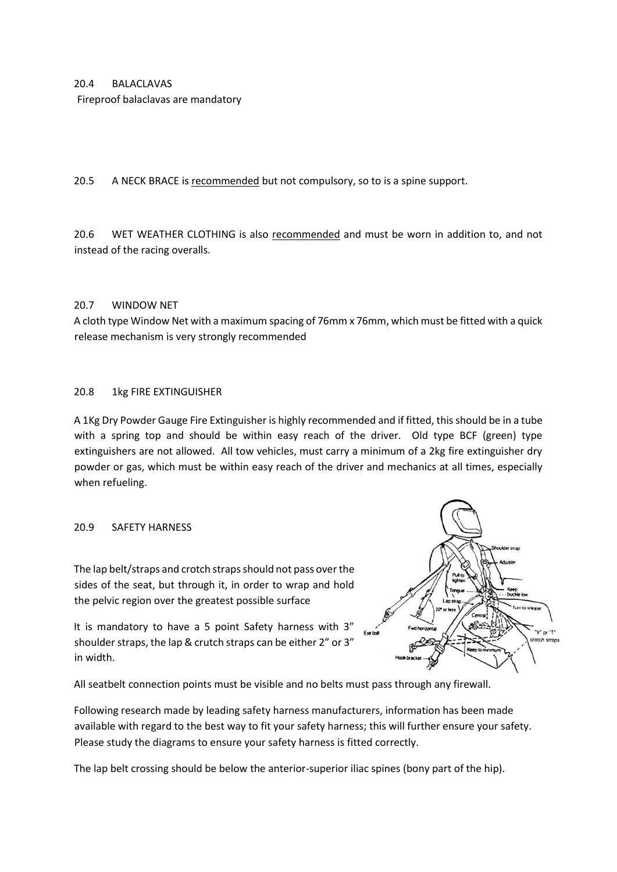#### 20.4 BALACLAVAS

Fireproof balaclavas are mandatory

20.5 A NECK BRACE is recommended but not compulsory, so to is a spine support.

20.6 WET WEATHER CLOTHING is also recommended and must be worn in addition to, and not instead of the racing overalls.

### 20.7 WINDOW NET

A cloth type Window Net with a maximum spacing of 76mm x 76mm, which must be fitted with a quick release mechanism is very strongly recommended

#### 20.8 1kg FIRE EXTINGUISHER

A 1Kg Dry Powder Gauge Fire Extinguisher is highly recommended and if fitted, this should be in a tube with a spring top and should be within easy reach of the driver. Old type BCF (green) type extinguishers are not allowed. All tow vehicles, must carry a minimum of a 2kg fire extinguisher dry powder or gas, which must be within easy reach of the driver and mechanics at all times, especially when refueling.

#### 20.9 SAFETY HARNESS

The lap belt/straps and crotch straps should not pass over the sides of the seat, but through it, in order to wrap and hold the pelvic region over the greatest possible surface

It is mandatory to have a 5 point Safety harness with 3" shoulder straps, the lap & crutch straps can be either 2" or 3" in width.



All seatbelt connection points must be visible and no belts must pass through any firewall.

Following research made by leading safety harness manufacturers, information has been made available with regard to the best way to fit your safety harness; this will further ensure your safety. Please study the diagrams to ensure your safety harness is fitted correctly.

The lap belt crossing should be below the anterior-superior iliac spines (bony part of the hip).